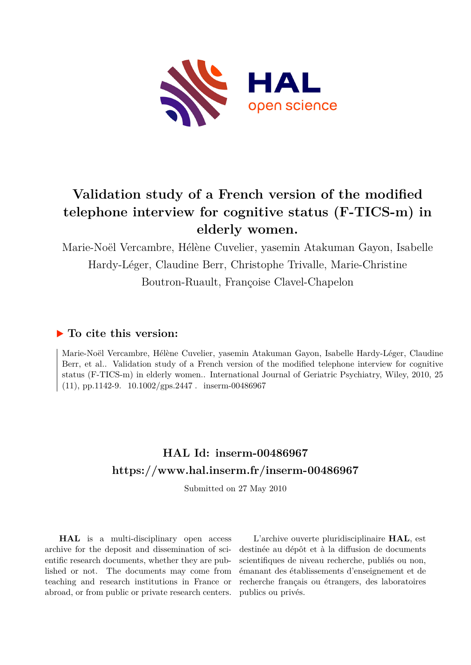

## **Validation study of a French version of the modified telephone interview for cognitive status (F-TICS-m) in elderly women.**

Marie-Noël Vercambre, Hélène Cuvelier, yasemin Atakuman Gayon, Isabelle Hardy-Léger, Claudine Berr, Christophe Trivalle, Marie-Christine Boutron-Ruault, Françoise Clavel-Chapelon

## **To cite this version:**

Marie-Noël Vercambre, Hélène Cuvelier, yasemin Atakuman Gayon, Isabelle Hardy-Léger, Claudine Berr, et al.. Validation study of a French version of the modified telephone interview for cognitive status (F-TICS-m) in elderly women.. International Journal of Geriatric Psychiatry, Wiley, 2010, 25  $(11)$ , pp.1142-9.  $10.1002$ /gps.2447. inserm-00486967

## **HAL Id: inserm-00486967 <https://www.hal.inserm.fr/inserm-00486967>**

Submitted on 27 May 2010

**HAL** is a multi-disciplinary open access archive for the deposit and dissemination of scientific research documents, whether they are published or not. The documents may come from teaching and research institutions in France or abroad, or from public or private research centers.

L'archive ouverte pluridisciplinaire **HAL**, est destinée au dépôt et à la diffusion de documents scientifiques de niveau recherche, publiés ou non, émanant des établissements d'enseignement et de recherche français ou étrangers, des laboratoires publics ou privés.